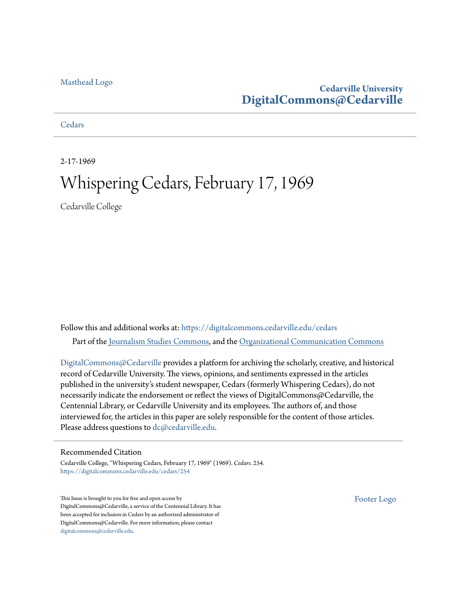#### [Masthead Logo](http://www.cedarville.edu/?utm_source=digitalcommons.cedarville.edu%2Fcedars%2F254&utm_medium=PDF&utm_campaign=PDFCoverPages)

## **Cedarville University [DigitalCommons@Cedarville](https://digitalcommons.cedarville.edu?utm_source=digitalcommons.cedarville.edu%2Fcedars%2F254&utm_medium=PDF&utm_campaign=PDFCoverPages)**

**[Cedars](https://digitalcommons.cedarville.edu/cedars?utm_source=digitalcommons.cedarville.edu%2Fcedars%2F254&utm_medium=PDF&utm_campaign=PDFCoverPages)** 

2-17-1969

## Whispering Cedars, February 17, 1969

Cedarville College

Follow this and additional works at: [https://digitalcommons.cedarville.edu/cedars](https://digitalcommons.cedarville.edu/cedars?utm_source=digitalcommons.cedarville.edu%2Fcedars%2F254&utm_medium=PDF&utm_campaign=PDFCoverPages) Part of the [Journalism Studies Commons](http://network.bepress.com/hgg/discipline/333?utm_source=digitalcommons.cedarville.edu%2Fcedars%2F254&utm_medium=PDF&utm_campaign=PDFCoverPages), and the [Organizational Communication Commons](http://network.bepress.com/hgg/discipline/335?utm_source=digitalcommons.cedarville.edu%2Fcedars%2F254&utm_medium=PDF&utm_campaign=PDFCoverPages)

[DigitalCommons@Cedarville](http://digitalcommons.cedarville.edu/) provides a platform for archiving the scholarly, creative, and historical record of Cedarville University. The views, opinions, and sentiments expressed in the articles published in the university's student newspaper, Cedars (formerly Whispering Cedars), do not necessarily indicate the endorsement or reflect the views of DigitalCommons@Cedarville, the Centennial Library, or Cedarville University and its employees. The authors of, and those interviewed for, the articles in this paper are solely responsible for the content of those articles. Please address questions to [dc@cedarville.edu.](mailto:dc@cedarville.edu)

#### Recommended Citation

Cedarville College, "Whispering Cedars, February 17, 1969" (1969). *Cedars*. 254. [https://digitalcommons.cedarville.edu/cedars/254](https://digitalcommons.cedarville.edu/cedars/254?utm_source=digitalcommons.cedarville.edu%2Fcedars%2F254&utm_medium=PDF&utm_campaign=PDFCoverPages)

This Issue is brought to you for free and open access by DigitalCommons@Cedarville, a service of the Centennial Library. It has been accepted for inclusion in Cedars by an authorized administrator of DigitalCommons@Cedarville. For more information, please contact [digitalcommons@cedarville.edu](mailto:digitalcommons@cedarville.edu).

[Footer Logo](http://www.cedarville.edu/Academics/Library.aspx?utm_source=digitalcommons.cedarville.edu%2Fcedars%2F254&utm_medium=PDF&utm_campaign=PDFCoverPages)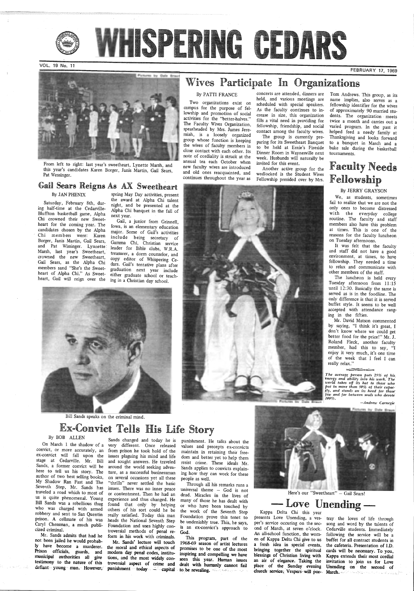

WHISPERING CEDARS

VOL. 19 No. 11

FEBRUARY 17, 1969





### By PATTI FRANCE

From left to right: last year's sweetheart, Lynette Marsh, and this year's candidates Karen Borger, Janis Martin, Gail Sears, Pat Wessinger.

Two organizations exist on campus for the purpose of fellowship and promotion of social activities for the "better-halves." The Faculty Wives Organization, spearheaded by Mrs. James Jeremiah, is a loosely organized<br>group whose function is keeping the wives of faculty members in close contact with each other. Its note of cordiality is struck at the annual tea each October when new faculty wives are introduced and old ones reacquainted, and continues throughout the year as

## Gail Sears Reigns As AX Sweetheart

#### By JAN PHENIX

Saturday, February 8th, during half-time at the Cedarville-Bluffton basketball game, Alpha Chi crowned their new Sweetheart for the coming year. The candidates chosen by the Alpha Chi members were: Karen Borger, Janis Martin, Gail Sears, and Pat Wissinger. Lynnette: Marsh, last year's Sweetheart, crowned the new Sweetheart, Gail Sears, as the Alpha Chi members sand "She's the Sweetheart of Alpha Chi." As Sweetheart, Gail will reign over the

ex-convict will fall upon the issues plaguing his mind and life stage at Cedarville. Mr. Bill Sands, a former convict will be here to tell us his story. The author of two best selling books, My Shadow Ran Fast and The Seventh Step, Mr. Sands has traveled a road which to most of us is quite phenomenal. Young Bill Sands was a rebellious thug who was charged with armed robbery and sent to San Quentin prison. A cellmate of his was Caryl Chessman, a much publicized criminal.

Mr. Sands admits that had he not been jailed he would probab ly have become a murderer. Prison officials, guards, and municipal authorities all give testimony to the nature of this defiant young man. However,

or more accurately, an from prison he took hold of the form in his work with criminals. This program, part of the<br>Mr. Sands' lecture will touch 1968-69 season of artist lectures<br>the moral and ethical aspects of promises to be one of the most<br>modern day penal codes, institu-<br>in



Here's our "Sweetheart" - Gail Sears!

spring May Day activities, present the award at Alpha Chi talent night, and be presented at the Alpha Chi banquet in the fall of next year.

Gail, a junior from Grinnell, Iowa, is an elementary education major. Some of Gail's activities include being secretary of Gamma Chi, Christian service leader for Bible clubs, W.R.A. treasurer, a dorm counselor, and copy editor of Whispering Cedars. Gail's tentative plans after graduation next year include either graduate school or teaching in a Christian day school.

Bill Sands speaks on the criminal mind.

# Ex-Convict Tells His Life Story

On March 1 the shadow of a very different. Once released values and precepts ex-convicts or more accurately, an from prison he took hold of the maintain in retaining their free-<br>convict will fall upon the issues plaguing h and sought answers. He traveled resist crime. These ideals Mr.<br>around the world seeking adven-<br>sands applies to convicts explain-<br>ture, as a successful businessman ing how they can work for these<br>on several occasions yet a "thrills" never settled the basic Through all his remarks runs a issues. There was no inner peace universal theme - God is not or contentment. Then he had an dead. Miracles in the lives of universal theme - God is not<br>dead. Miracles in the lives of or contentment. Then he had an dead. Miracles in the lives of experience and thus changed. He many of those he has dealt with found that only by helping or who have been touched by others of his sort could he be the work o

The group is currently preparing for its Sweetheart Banquet to be held at Ernie's Fireside Dinner Room in Waynesville next week. Husbands will naturally be invited for this event.

Sands changed and today he is punishment. He talks about the



It was felt that the faculty and staff did not have a good environment, at times, to have fellowship. They needed a time to relax and communicate with other members of the staff.

Kappa Delta Chi this year presents Love Unending, a ves-<br>
tray the loves of life through<br>
per's service occuring on the sec-<br>
song and word by the talents of<br>
ond of March, at seven o'clock. Cedarville students. Immediately<br>
An all-school function, en of Kappa Delta Chi give to us buffet for all contract students in a fresh idea in special events, the cafeteria. Presentation of ID bringing together the spiritual cards will be necessary. To you, blessings of Christian living with Kappa extends their most cordial an air of elegance. Taking the invitation to join us for Love an air of elegance. Taking the invitation to join us for Love place of the Sunday evening Unending on the second of church-service, Vespers-will por-<br>
March.

the cafeteria. Presentation of I.D.

concerts are attended, dinners are held, and various meetings are scheduled with special speakers. As the faculty continues to increase in size, this organization fills a vital need in providing for fellowship, friendship, and social contact among the faculty wives.

Another active group for the wedlocked is the Student Wives Fellowship presided over by Mrs.



Tom Andrews. This group, as its name implies, also serves as a fellowship identifier for the wives of approximately 90 married students. The organization meets twice a month and carries out a varied program. In the past it helped feed a needy family at Thanksgiving and looks forward to a banquet in March and a bake sale during the basketball tournaments.

## Faculty Needs Fellowship

#### By JERRY GRAYSON

We, as students, sometimes fail to realize that we are not the only ones to become distressed with the everyday college routine. The faculty and staff members also have this problem at times. This is one of the reasons for the faculty luncheon on Tuesday afternoons.

 The luncheon is held every Tuesday afternoon from 11:15 until 12:30. Basically the same is served as is in the foodline. The only difference is that it is served buffet style. It seems to be well accepted with attendance ranging in the fifties.

Mr. David Matson commented by saying, "I think it's great, I don't know where we could get better food for the price!" Mr. J.<br>Roland Fleck, another faculty member, had this to say, "I enjoy it very much, it's one time of the week that I feel I can really relax."

The average person puts 25% of his<br>energy and ability into his work. The<br>world takes off its hat to those who put in more than 50% of their capac-<br>ity, and stands on its head for those<br>few and far between souls who devote<br>100%.

()~~()~()•





#### Love Unending -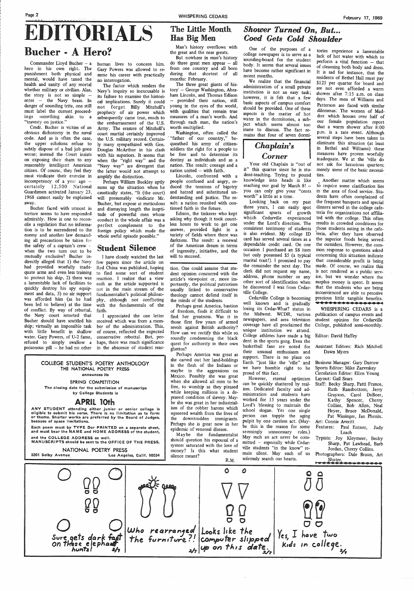## **EDITORIALS** Bucher - A Hero?

Commander Lloyd Bucher  $- a$ hero in his own right. The punishment both physical and mental, would have taxed the health and sanity of any mortal whether military or civilian. Alas, the story is not so simple enter - the Navy brass. In danger of sounding trite, one still must label the current proceedings something akin to a "travesty on justice."

Bucher faced with utmost in torture seems to have responded . admirably. How is one to reconcile a regulation that no information is to be surrendered to the enemy and another law demanding all precautions be taken for the safety of a captain's crew when the two turn out to be mutually exclusive? Bucher indirectly alleged that 1) the Navy had provided woefully inadequate arms and even less training to protect his ship, 2) there was a lamentable lack of facilities to quickly destroy his spy equipment and data, 3) no air support was afforded him (as he had been led to believe) at the time of conflict. By way of rebuttal, the Navy court retorted that Bucher should have scuttled his ship; virtually an impossible task with little benefit in shallow water. Gary Powers, of U-2 fame, conservative rebuttal. But, perrefused to simply swallow a poisonous pill – he had no other in the abscence of student reac-

 $\hat{\mathcal{L}}_{\text{in}}$ 

Cmdr. Bucher is victim of an obvious dichotomy in the naval code. And as is often the case, the upper echelons refuse to subtly dispose of a bad job gone worse; instead the Court insists on exposing their sham to any reasonably intelligent American citizen. Of course, they feel they must vindicate their exercise in incompetency of a year ago certainly 12,500 National Guardsmen activated January 23, 1968 cannot easily be explained away.

human lives to concern him. Gary Powers was allowed to resume his career with practically no interrogation.

## The Little Month Has Big Men

The factor which renders the Navy's inquiry so inexcusable is its failure to examine the historical implications. Surely it could not forget Billy Mitchell's prophecy of air power which subsequently came true, much to the embarrassment of the U.S. Army. The erasure of Mitchell's court martial certainly improved the U.S. military record. Certainly many sympathized with Gen. Douglas McArthur in his clash with his superiors. It seems that when the "right way" and the "Navy way" are divergent that the latter would not attempt to amplify the distinction.

Washington, often called the 'father of our country," bequeathed his army of citizensoldiers the right for a people to be free and to determine its destiny as individuals and as <sup>a</sup> nation. The result: courage and a nation united  $-$  with faith.

Perhaps William Buckley aptly sums up the situation when he caustically states, "It (the court) will presumably vindicate Mr. Bucher, but expose at meticulous and dismaying length the ineptitude of powerful men whose conduct in the whole affair was <sup>a</sup> perfect complement to the foreign policy which made the whole awful episode possible."

## Student Silence

I have closely watched the last few papers since the article on Red China was published, hoping to find some sort of student reaction. I realize that a view such as the article supported is not in the main stream of the fundamentalist's political philoso<sup>p</sup>hy, although not conflicting with the fundamentals of the faith.

I appreciated the one letter received which was from a member of the administration. This, of course, reflected the expected haps, there was much significance

## *Shower Turned On, But... Coed Gets Cold Shoulder*

#### COLLEGE STUDENT'S POETRY ANTHOLOGY THE NATIONAL POETRY PRESS announces its

#### SPRING COMPETITION

The closing date for the submission of manuscrips by College Students is

## *Chaplain's*   $Corner$

#### APRIL 10th

ANY STUDENT attending either junior or senior college is eligible to submit his verse. There is no limitation as to form or theme. Shorter works are preferred by the Board of Judges, because of space limitations.

Each poem must by TYPE Dor PRINTED on a separate sheet, and must bear the NAME and HOME ADDRESS of the student, and the COLLEGE ADDRESS as well.

MANUSCRIPTS should be sent to the OFFICE OF THE PRESS.

Looking back on my past three years, I can easily spot significant spurts of growth which Cedarville experienced under the Lord's direction. The consistent testimony of students is also evident. My college ID card has served several times as <sup>a</sup> dependable credit card. On one occasion I purchased an \$8 item but only possessed \$5 (a typical marital trait!). I promised to pay the remainder the next day. The clerk did not request my name, address, phone number or any other sort of identification when he discovered I was from Cedarville College.

Man's history overflows with the great and the near greats.

But nowhere in man's history do three great men appear  $-$  all from one country and all born during that shortest of all . months: February.

The three great giants of history<sup>-</sup> - George Washington, Abraham Lincoln, and Thomas Edison provided their nation, still young in the eyes of the world, with qualities that remain true measures of a man's worth. And through each man, the nation's worth multiplied.

> Another matter which seems to require some clarification lies in the area of food service. Students have often complained of the frequent banquets and special dinners served in the college cafeteria for organizations not affiliated with the college. This often results in crowded conditions for those students eating in the cafe teria, after they have observed the superior foods being served. the outsiders. However, the common response to questions asked concerning this situation indicate that considerable profit is being made. Of course, we realize this is not rendered as a public service, but we wonder where the surplus money is spent. It seems that the students who are being inconvienced are able to perceive precious little tangible benefits.<br> **WHISPERING CEDARS** is a

Lincoln, confronted with a people confused and angry, reduced the tensions of bigotry and hatred and substituted understanding and justice. The result: a nation reunited with continued faith in the future.

Edison, the tinkerer who kept asking why though it took countless hours to work to get one answer, provided light in a variety of fields where there was darkness. The result: a renewal of the American dream in terms of ingenuity, initiative, and the will to succeed.

tion. One could assume that student opinion concurred with the article's viewpoint or, more importantly, the political patriotism usually linked to conservative theology cannot defend itself in the minds of the students.

Perhaps great America, bastion of freedom, finds it difficult to find her greatness. Was it in those first few years of armed revolt against British authority? How can we rectify this while so\_ roundly condemning the black quest for authority in their own ghettos?

Perhaps America was great as she carved out her land-holdings in the flesh of the Indians or maybe in the aggressions on Mexico. Possibly she was great when she allowed all men to be free, to worship as they pleased while keeping millions in a depraved condition of slavery. Maybe she was great in her industrialism of the robber barons which squeezed wealth from the lives of the downtrodden immigrants. Perhaps she is great now in her epidemic of venereal disease.

Maybe the fundamentalist should question his espousal of a system saturated with the love of

One of the purposes of <sup>a</sup> college newspaper is to serve as <sup>a</sup> sounding-board for the student body. It seems that several issues have become rather significant in recent months.

We realize that the financial administration of a small private institution is not an easy task; however, it is felt that a few basic aspects of campus comfort should be provided. One of these aspects is the matter of hot water in the dormitories, a subject which seems almost too inane to discuss. The fact remains that four of seven dormi-

Your old Chaplain is "out of it" this quarter since he is student-teaching. Trying to pound knowledge into heads is like reaching our goal by March  $8!$  you can only give your "cents worth" a little at a time.



Cedarville College is becoming well known and is gradually losing its Cedar-What? status in the Midwest. WCDR, various newspapers, and area television coverage haye all proclaimed the unique institution we attend. College athletes have made a big dent in the sports gong. Even the basketball fans are noted for their unusual enthusiasm and support. There is no place on Earth "just like the 'ville" and we have humble right to be proud of this fact.

However, eternal optimism can be quickly shattered by realism. Dedicated faculty and administration and students have worked for 15 years under the Lord's blessing to maintain the school slogan. Yet one single person can topple the aging pulpit by one careless act. (Maybe this is the reason for some seemingly unnecessary rules.) May such an act never be com $mitted - especially while Cedar$ ville students "in the know" re-

tories experience a lamentable lack of hot water with which to perform a vital function  $-$  that of cleansing both body and dress. It is sad for instance, that the residents of Bethel Hall must pay \$125 per quarter for board and are not even afforded a warm shower after 7:15 a.m. on class days. The men of Williams and Patterson are faced with similar dilemmas: The women of Maddox which houses over half of our female population report that a warm shower after 8:00 p.m. is a rare event. Although several steps have been taken to eliminate this situation (at least in Bethel and Williams) these measures have proven woefully inadequate. We at the 'ville do not ask for luxurious quarters; merely some of the basic necessities.

publication of campus events and student opinion for Cedarville College, published semi-monthly.

#### Editor: David Haffey

Assistant Editors: Rich Mitchell Dawn Myers

Business Manager: Gary Darrow Sports Editor: Mike Zazvrskey Circulation Editor: Ellen Young Layout: Gail Sears

Staff: Becky Sharp, Patti France, Ruth Ransbottom, Jerry Grayson, Carol DeBoer, Kathy Spencer, Cherry Collins, Bob Allen, Neal Heyer, Bruce McDonald, Pat Wissinger, Jan Phenix. Art: Connie Averitt

Features: Paul Entner, Judy Leach

Typists: Joy Kleymeer, Becky Sharp, Pat Lawhead, Barb Jordan, Cherry Collins.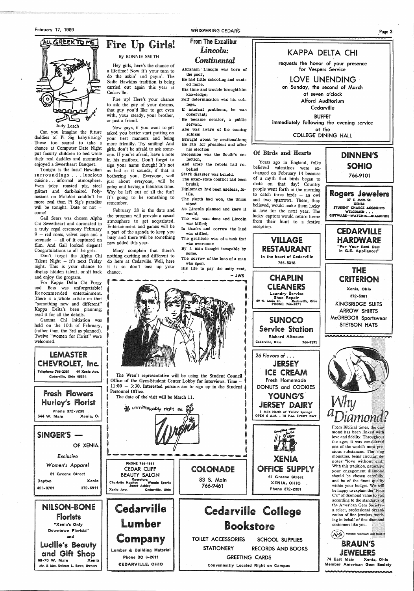February 17, 1969

ALL GREEK TO ME

Judy Leach

Can you imagine the future daddies of Pi Sig babysitting? Those too scared to take a chance at Computer Date Night put faculty children to bed while their real daddies and mommies enjoyed a Sweetheart Banquet.

Don't forget the Alpha Chi Talent Night  $-$  it's next Friday night. This is your chance to display hidden talent, or sit back and enjoy the program.

Tonight is the luau! Hawaiian surroundings ... luscious cuisine ... informal atmosphere. Even juicy roasted pig, steel guitars and dark-haired Polynesians on Molokai couldn't be more real than Pi Sig's paradise will be tonight. Date or not  $$ come!

Gail Sears was chosen Alpha Chi Sweetheart and coronated in a truly regal ceremony February 9 - red roses, velvet cape and a serenade – all of it captured on film. And Gail looked elegant! Congratulations to all the girls.

SINGER'S -Of XENIA

WHISPERING CEDARS

For Kappa Delta Chi Porgy and Bess was unforgettable! Recommended entertainment. There is a whole article on that "something new and different" Kappa Delta's been planning; read it for all the details.

Gamma Chi initiation was held on the 10th of February, (rather than the 3rd as planned). Twelve "women for Christ" were welcomed.

LEMASTER CHEVR01LET, Inc. Telephone 766-2381 49 Xenia Ave. Cedarville, Ohio 453'14

Fresh Flowers Hurley's Florist Phone 372-9233 544 W. Main Xenia, O. Fire Up Girls!

By BONNIE SMITH

Hey girls, here's the chance of a lifetime! Now it's your turn to do the askin' and payin'. The Sadie Hawkins tradition is being carried out again this year at

Cedarville.

In thanks and sorrow the land was stilled.

Fire up! Here's your chance to ask the guy of your dreams, that guy you'd like to get even with, your steady, your brother,

or just a friend.

Now guys, if you want to get asked you better start putting on your best manners and being more friendly. Try smiling! And girls, don't be afraid to ask someone. If you're afraid, leave a note in his mailbox. Don't forget to sign your name though! It's not as bad as it sounds, if that is bothering you. Everyone, well just about everyone, will be going and having a fabulous time. Why be left out of all the fun? It's going to be something to

remember.

YOUNG'S JERSEY DAIRY 1 Mile North of Yellow Springs OPEN 6 A.M. - 10 P.M. EVERY DAY

February 28 is the date and the program will provide a casual atmosphere to get acquainted. Entertainment and games will be a part of the agenda to keep you busy and there will be something Rogers Jewelers *37* E. Main St. XENIA STUDENT CHARGE ACCOUNTS WELCOMED . . .<br>GIFTWARE-WATCHES-DIAMONDS

new added this year.

Many complain that there's nothing exciting and different to do here at Cedarville. Well, here it is so don't pass up your

chance.

## From The Excalibur *Lincoln: Continental*

Abraham · Lincoln was born of the poor,

He had little schooling and wanted more.

> 74 East Main Xenia, Ohio Member American Gem Society **RAARAAAAAA**

 His time and trouble brought him knowledge;

Self determination was his col-· lege.

If internal problems, he was observant;

He became senator, a public servant.

Abe was aware of the coming schism Brought about by sectionalism;

He ran for president and after his election

secession was the South's selection,

And after the rebels had rebelled

Stark disaster was beheld.

 The inter-state conflict had been brutal;

Diplomacy had been useless, futile.

 The North had won, the Union stood

As Lincoln planned and knew it would. The war was done and Lincoln

was killed;



The gratitude was of a task that was overcome

By a man thought incapable by some.

The sorrow of the loss of a man who spent

His life to pay the unity rent.

- JWS



The Wren's representative will be using the Student Council Office of the Gym-Student Center Lobby for interviews. Time -11:00 - 3:30. Interested persons are to sign up in the Student Personnel Office.

The date of the visit will be March 11.

y unmista<sub>k</sub>ably right as

KAPPA DELTA CHI



at seven o'clock Alford Auditorium

Cedarville

BUFFET immediately following the evening service

at the

COLLEGE DINING HALL

## Of Birds and Hearts

Years ago in England, folks believed valentines were exchanged on February 14 because of a myth that birds began to mate on that day! Country people went forth in the morning to catch three birds – an owl and two sparrows. These, they believed, would make them lucky in love for the next year. The lucky captors would return home from their hunt to a festive reception.



CLEANERS Laundry Service Shoe Repair <sup>49</sup>N. Main St. Cedarville, Oflio PHONE: 766-3871

SUNOCO Service Station Richard Altnouse Cedarville, Ohio 766-9191

26 *Flavors* of . . . JERSEY ICE CREAM fresh Homemade DONUTS and COOKIES





CEDARVILLE. **HARDWARE** "For Your Best Deal

In G.E. Appliances" THE, CRITERION Xenia, Ohio 372-6381 KINGSRIDGE SUITS ARROW SHIRTS McGREGOR Sportswear STETSON HATS



mond has been linked with love and fidelity. Throughout the ages, it was considered one of the world's most precious substances. The ring mounting, being circular, denotes-"love without end;" With this tradition, naturally, your engagement diamond should be chosen carefully, and be of the finest quality within your budget. We will be happy to explain the "Four C's" of diamond value to you according to the standards of the American Gem Society: a select, professional organization of fine jewelers work-